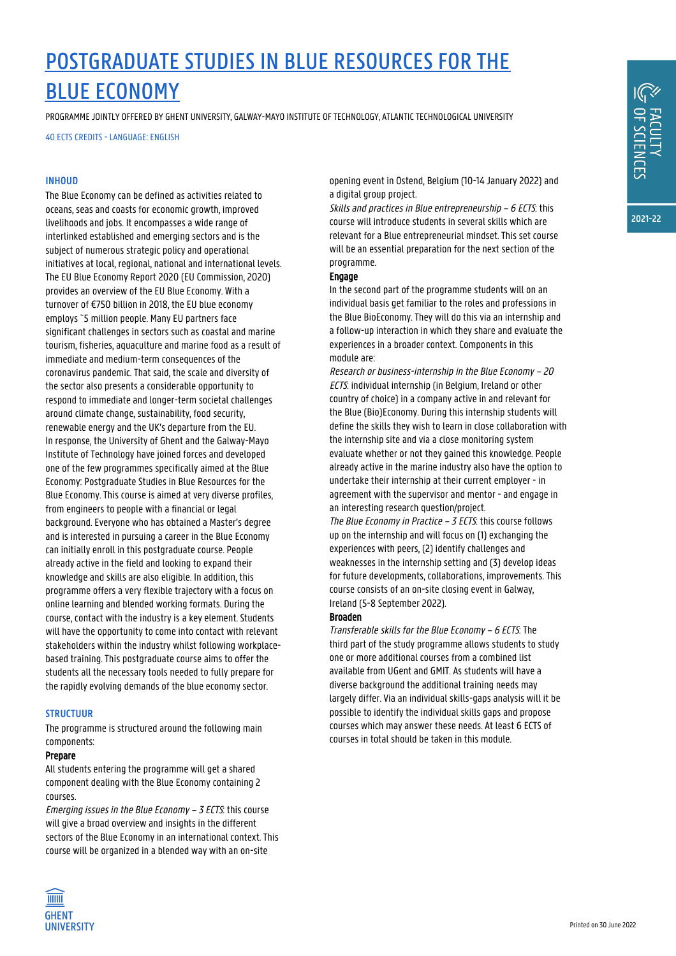## POSTGRADUATE STUDIES IN BLUE RESOURCES FOR THE BLUE ECONOMY

PROGRAMME JOINTLY OFFERED BY GHENT UNIVERSITY, GALWAY-MAYO INSTITUTE OF TECHNOLOGY, ATLANTIC TECHNOLOGICAL UNIVERSITY

40 ECTS CREDITS - LANGUAGE: ENGLISH

#### **INHOUD**

The Blue Economy can be defined as activities related to oceans, seas and coasts for economic growth, improved livelihoods and jobs. It encompasses a wide range of interlinked established and emerging sectors and is the subject of numerous strategic policy and operational initiatives at local, regional, national and international levels. The EU Blue Economy Report 2020 (EU Commission, 2020) provides an overview of the EU Blue Economy. With a turnover of €750 billion in 2018, the EU blue economy employs ~5 million people. Many EU partners face significant challenges in sectors such as coastal and marine tourism, fisheries, aquaculture and marine food as a result of immediate and medium-term consequences of the coronavirus pandemic. That said, the scale and diversity of the sector also presents a considerable opportunity to respond to immediate and longer-term societal challenges around climate change, sustainability, food security, renewable energy and the UK's departure from the EU. In response, the University of Ghent and the Galway-Mayo Institute of Technology have joined forces and developed one of the few programmes specifically aimed at the Blue Economy: Postgraduate Studies in Blue Resources for the Blue Economy. This course is aimed at very diverse profiles, from engineers to people with a financial or legal background. Everyone who has obtained a Master's degree and is interested in pursuing a career in the Blue Economy can initially enroll in this postgraduate course. People already active in the field and looking to expand their knowledge and skills are also eligible. In addition, this programme offers a very flexible trajectory with a focus on online learning and blended working formats. During the course, contact with the industry is a key element. Students will have the opportunity to come into contact with relevant stakeholders within the industry whilst following workplacebased training. This postgraduate course aims to offer the students all the necessary tools needed to fully prepare for the rapidly evolving demands of the blue economy sector.

#### **STRUCTUUR**

The programme is structured around the following main components:

#### Prepare

All students entering the programme will get a shared component dealing with the Blue Economy containing 2 courses.

Emerging issues in the Blue Economy – 3 ECTS: this course will give a broad overview and insights in the different sectors of the Blue Economy in an international context. This course will be organized in a blended way with an on-site



Skills and practices in Blue entrepreneurship – 6 ECTS: this course will introduce students in several skills which are relevant for a Blue entrepreneurial mindset. This set course will be an essential preparation for the next section of the programme.

#### Engage

In the second part of the programme students will on an individual basis get familiar to the roles and professions in the Blue BioEconomy. They will do this via an internship and a follow-up interaction in which they share and evaluate the experiences in a broader context. Components in this module are:

Research or business-internship in the Blue Economy – 20 ECTS: individual internship (in Belgium, Ireland or other country of choice) in a company active in and relevant for the Blue (Bio)Economy. During this internship students will define the skills they wish to learn in close collaboration with the internship site and via a close monitoring system evaluate whether or not they gained this knowledge. People already active in the marine industry also have the option to undertake their internship at their current employer - in agreement with the supervisor and mentor - and engage in an interesting research question/project.

The Blue Economy in Practice - 3 ECTS: this course follows up on the internship and will focus on (1) exchanging the experiences with peers, (2) identify challenges and weaknesses in the internship setting and (3) develop ideas for future developments, collaborations, improvements. This course consists of an on-site closing event in Galway, Ireland (5-8 September 2022).

#### Broaden

Transferable skills for the Blue Economy – 6 ECTS: The third part of the study programme allows students to study one or more additional courses from a combined list available from UGent and GMIT. As students will have a diverse background the additional training needs may largely differ. Via an individual skills-gaps analysis will it be possible to identify the individual skills gaps and propose courses which may answer these needs. At least 6 ECTS of courses in total should be taken in this module.